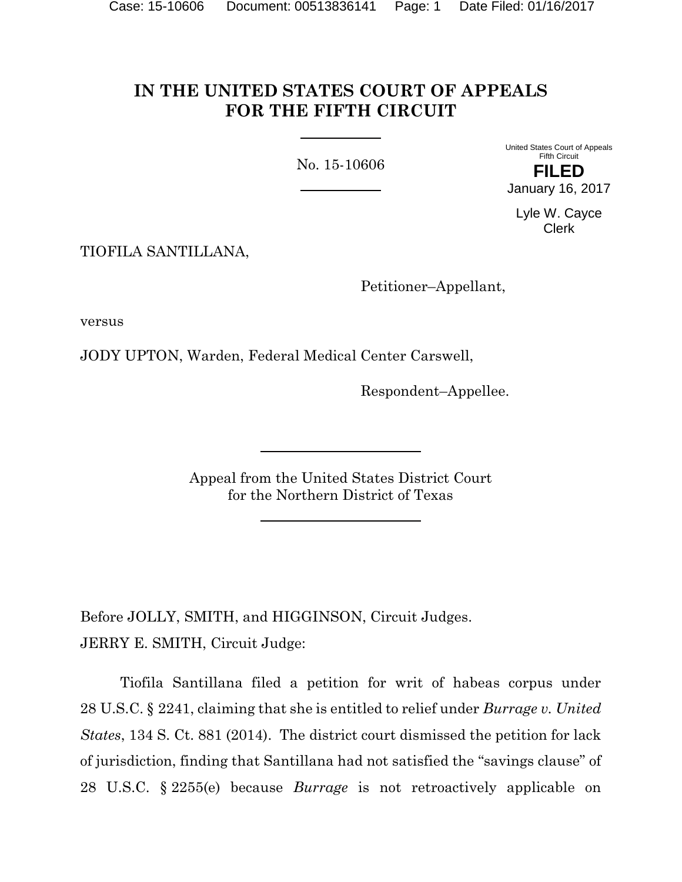# **IN THE UNITED STATES COURT OF APPEALS FOR THE FIFTH CIRCUIT**

No. 15-10606

United States Court of Appeals Fifth Circuit **FILED** January 16, 2017

Lyle W. Cayce Clerk

TIOFILA SANTILLANA,

Petitioner–Appellant,

versus

JODY UPTON, Warden, Federal Medical Center Carswell,

Respondent–Appellee.

Appeal from the United States District Court for the Northern District of Texas

Before JOLLY, SMITH, and HIGGINSON, Circuit Judges. JERRY E. SMITH, Circuit Judge:

Tiofila Santillana filed a petition for writ of habeas corpus under 28 U.S.C. § 2241, claiming that she is entitled to relief under *Burrage v. United States*, 134 S. Ct. 881 (2014). The district court dismissed the petition for lack of jurisdiction, finding that Santillana had not satisfied the "savings clause" of 28 U.S.C. § 2255(e) because *Burrage* is not retroactively applicable on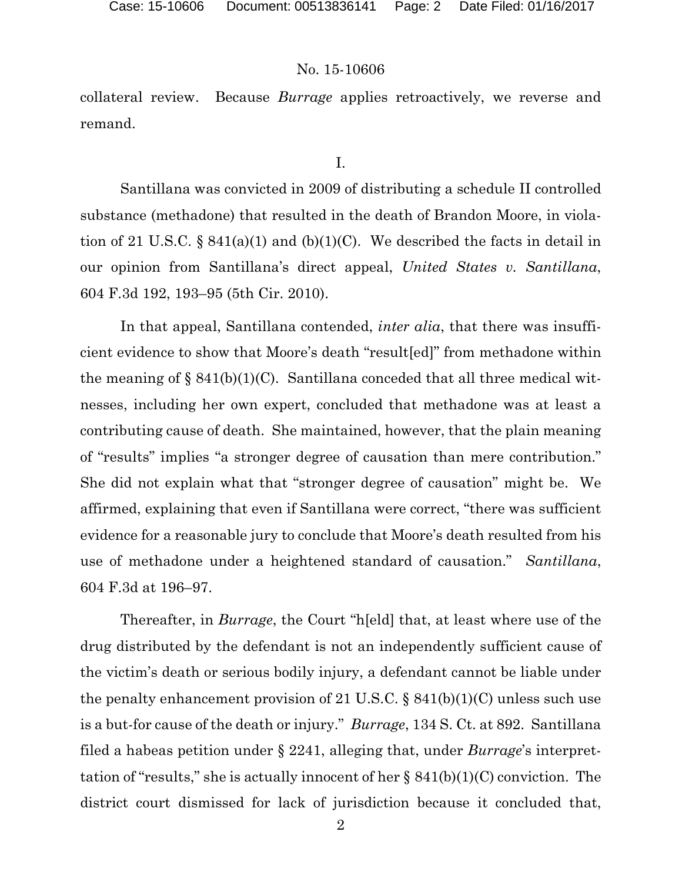# No. 15-10606

collateral review. Because *Burrage* applies retroactively, we reverse and remand.

I.

Santillana was convicted in 2009 of distributing a schedule II controlled substance (methadone) that resulted in the death of Brandon Moore, in violation of 21 U.S.C. § 841(a)(1) and (b)(1)(C). We described the facts in detail in our opinion from Santillana's direct appeal, *United States v. Santillana*, 604 F.3d 192, 193–95 (5th Cir. 2010).

In that appeal, Santillana contended, *inter alia*, that there was insufficient evidence to show that Moore's death "result[ed]" from methadone within the meaning of  $\S 841(b)(1)(C)$ . Santillana conceded that all three medical witnesses, including her own expert, concluded that methadone was at least a contributing cause of death. She maintained, however, that the plain meaning of "results" implies "a stronger degree of causation than mere contribution." She did not explain what that "stronger degree of causation" might be. We affirmed, explaining that even if Santillana were correct, "there was sufficient evidence for a reasonable jury to conclude that Moore's death resulted from his use of methadone under a heightened standard of causation." *Santillana*, 604 F.3d at 196–97.

Thereafter, in *Burrage*, the Court "h[eld] that, at least where use of the drug distributed by the defendant is not an independently sufficient cause of the victim's death or serious bodily injury, a defendant cannot be liable under the penalty enhancement provision of 21 U.S.C.  $\S$  841(b)(1)(C) unless such use is a but-for cause of the death or injury." *Burrage*, 134 S. Ct. at 892. Santillana filed a habeas petition under § 2241, alleging that, under *Burrage*'s interprettation of "results," she is actually innocent of her  $\S 841(b)(1)(C)$  conviction. The district court dismissed for lack of jurisdiction because it concluded that,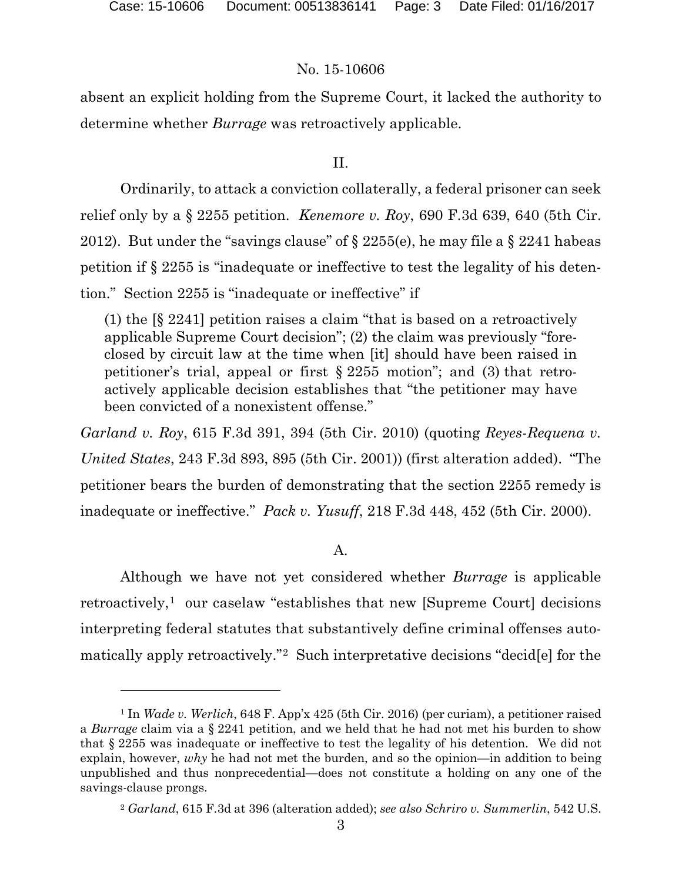$\overline{a}$ 

### No. 15-10606

absent an explicit holding from the Supreme Court, it lacked the authority to determine whether *Burrage* was retroactively applicable.

### II.

Ordinarily, to attack a conviction collaterally, a federal prisoner can seek relief only by a § 2255 petition. *Kenemore v. Roy*, 690 F.3d 639, 640 (5th Cir. 2012). But under the "savings clause" of  $\S 2255(e)$ , he may file a  $\S 2241$  habeas petition if § 2255 is "inadequate or ineffective to test the legality of his detention." Section 2255 is "inadequate or ineffective" if

(1) the [§ 2241] petition raises a claim "that is based on a retroactively applicable Supreme Court decision"; (2) the claim was previously "foreclosed by circuit law at the time when [it] should have been raised in petitioner's trial, appeal or first § 2255 motion"; and (3) that retroactively applicable decision establishes that "the petitioner may have been convicted of a nonexistent offense."

*Garland v. Roy*, 615 F.3d 391, 394 (5th Cir. 2010) (quoting *Reyes-Requena v. United States*, 243 F.3d 893, 895 (5th Cir. 2001)) (first alteration added). "The petitioner bears the burden of demonstrating that the section 2255 remedy is inadequate or ineffective." *Pack v. Yusuff*, 218 F.3d 448, 452 (5th Cir. 2000).

## A.

Although we have not yet considered whether *Burrage* is applicable retroactively,<sup>1</sup> our caselaw "establishes that new [Supreme Court] decisions interpreting federal statutes that substantively define criminal offenses automatically apply retroactively."2 Such interpretative decisions "decid[e] for the

<sup>1</sup> In *Wade v. Werlich*, 648 F. App'x 425 (5th Cir. 2016) (per curiam), a petitioner raised a *Burrage* claim via a § 2241 petition, and we held that he had not met his burden to show that § 2255 was inadequate or ineffective to test the legality of his detention. We did not explain, however, *why* he had not met the burden, and so the opinion—in addition to being unpublished and thus nonprecedential—does not constitute a holding on any one of the savings-clause prongs.

<sup>2</sup> *Garland*, 615 F.3d at 396 (alteration added); *see also Schriro v. Summerlin*, 542 U.S.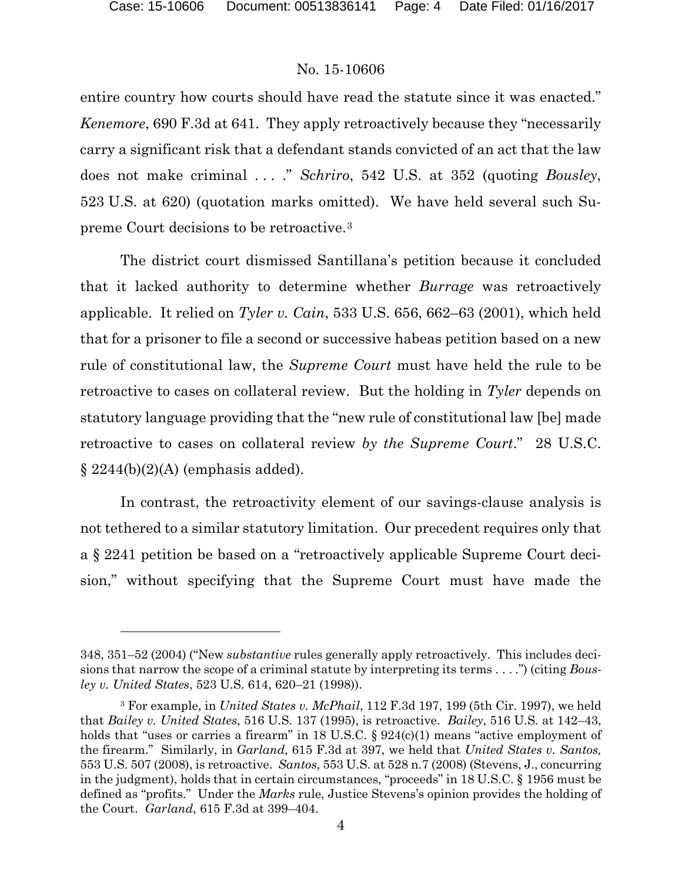$\overline{a}$ 

#### No. 15-10606

entire country how courts should have read the statute since it was enacted." *Kenemore*, 690 F.3d at 641. They apply retroactively because they "necessarily carry a significant risk that a defendant stands convicted of an act that the law does not make criminal . . . ." *Schriro*, 542 U.S. at 352 (quoting *Bousley*, 523 U.S. at 620) (quotation marks omitted). We have held several such Supreme Court decisions to be retroactive.3

The district court dismissed Santillana's petition because it concluded that it lacked authority to determine whether *Burrage* was retroactively applicable. It relied on *Tyler v. Cain*, 533 U.S. 656, 662–63 (2001), which held that for a prisoner to file a second or successive habeas petition based on a new rule of constitutional law, the *Supreme Court* must have held the rule to be retroactive to cases on collateral review. But the holding in *Tyler* depends on statutory language providing that the "new rule of constitutional law [be] made retroactive to cases on collateral review *by the Supreme Court*." 28 U.S.C.  $\S 2244(b)(2)(A)$  (emphasis added).

In contrast, the retroactivity element of our savings-clause analysis is not tethered to a similar statutory limitation. Our precedent requires only that a § 2241 petition be based on a "retroactively applicable Supreme Court decision," without specifying that the Supreme Court must have made the

<sup>348, 351–52 (2004) (&</sup>quot;New *substantive* rules generally apply retroactively. This includes decisions that narrow the scope of a criminal statute by interpreting its terms . . . .") (citing *Bousley v. United States*, 523 U.S. 614, 620–21 (1998)).

<sup>3</sup> For example, in *United States v. McPhail*, 112 F.3d 197, 199 (5th Cir. 1997), we held that *Bailey v. United States*, 516 U.S. 137 (1995), is retroactive. *Bailey*, 516 U.S. at 142–43, holds that "uses or carries a firearm" in 18 U.S.C.  $\S 924(c)(1)$  means "active employment of the firearm." Similarly, in *Garland*, 615 F.3d at 397, we held that *United States v. Santos,*  553 U.S. 507 (2008), is retroactive. *Santos*, 553 U.S. at 528 n.7 (2008) (Stevens, J., concurring in the judgment), holds that in certain circumstances, "proceeds" in 18 U.S.C. § 1956 must be defined as "profits." Under the *Marks* rule, Justice Stevens's opinion provides the holding of the Court. *Garland*, 615 F.3d at 399–404.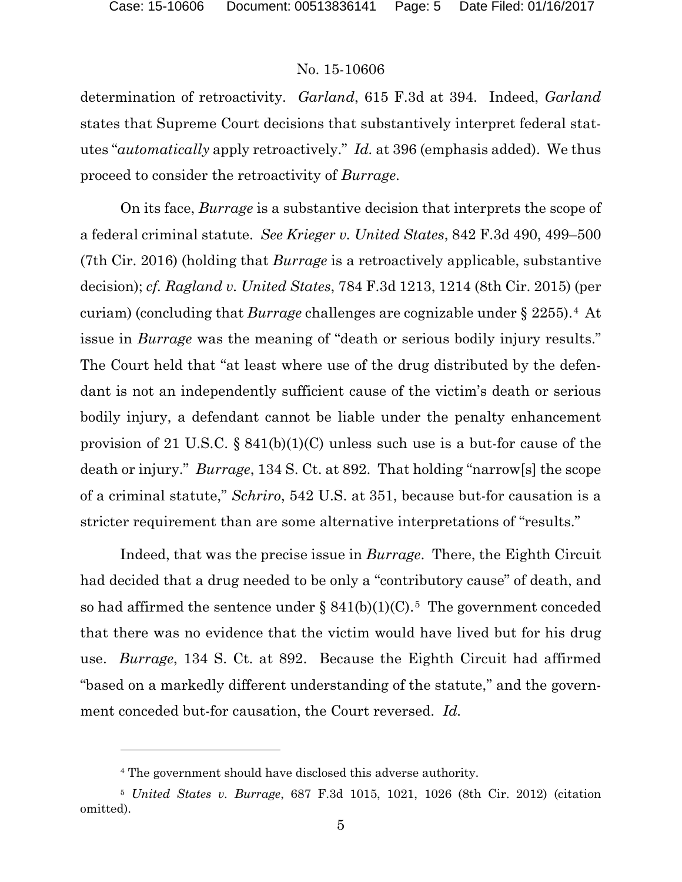#### No. 15-10606

determination of retroactivity. *Garland*, 615 F.3d at 394. Indeed, *Garland* states that Supreme Court decisions that substantively interpret federal statutes "*automatically* apply retroactively." *Id.* at 396 (emphasis added). We thus proceed to consider the retroactivity of *Burrage*.

On its face, *Burrage* is a substantive decision that interprets the scope of a federal criminal statute. *See Krieger v. United States*, 842 F.3d 490, 499–500 (7th Cir. 2016) (holding that *Burrage* is a retroactively applicable, substantive decision); *cf. Ragland v. United States*, 784 F.3d 1213, 1214 (8th Cir. 2015) (per curiam) (concluding that *Burrage* challenges are cognizable under § 2255).4 At issue in *Burrage* was the meaning of "death or serious bodily injury results." The Court held that "at least where use of the drug distributed by the defendant is not an independently sufficient cause of the victim's death or serious bodily injury, a defendant cannot be liable under the penalty enhancement provision of 21 U.S.C.  $\S 841(b)(1)(C)$  unless such use is a but-for cause of the death or injury." *Burrage*, 134 S. Ct. at 892. That holding "narrow[s] the scope of a criminal statute," *Schriro*, 542 U.S. at 351, because but-for causation is a stricter requirement than are some alternative interpretations of "results."

Indeed, that was the precise issue in *Burrage*. There, the Eighth Circuit had decided that a drug needed to be only a "contributory cause" of death, and so had affirmed the sentence under  $\S 841(b)(1)(C)$ .<sup>5</sup> The government conceded that there was no evidence that the victim would have lived but for his drug use. *Burrage*, 134 S. Ct. at 892. Because the Eighth Circuit had affirmed "based on a markedly different understanding of the statute," and the government conceded but-for causation, the Court reversed. *Id.*

 $\overline{a}$ 

<sup>4</sup> The government should have disclosed this adverse authority.

<sup>5</sup> *United States v. Burrage*, 687 F.3d 1015, 1021, 1026 (8th Cir. 2012) (citation omitted).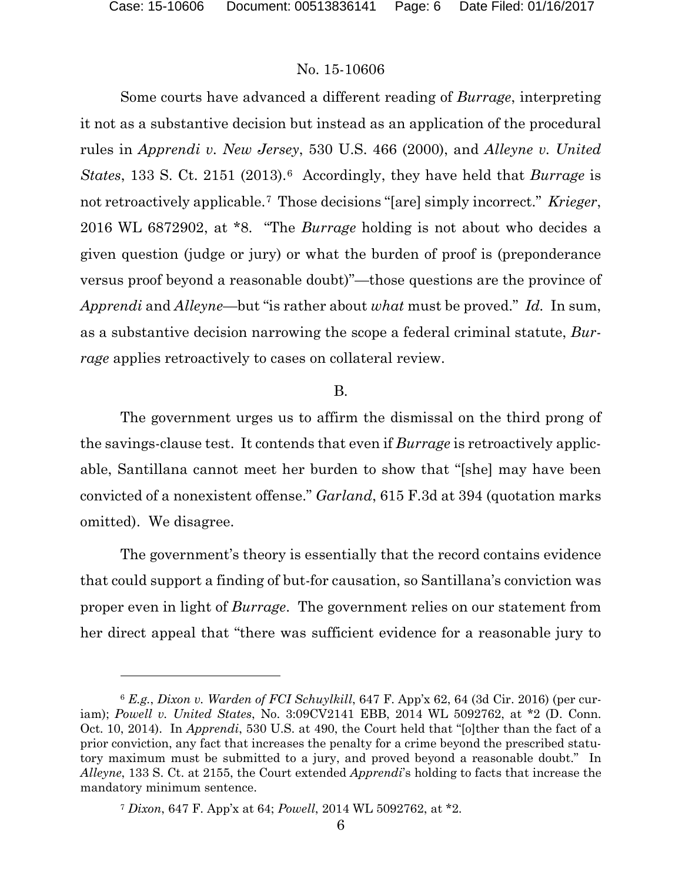$\overline{a}$ 

#### No. 15-10606

Some courts have advanced a different reading of *Burrage*, interpreting it not as a substantive decision but instead as an application of the procedural rules in *Apprendi v. New Jersey*, 530 U.S. 466 (2000), and *Alleyne v. United States*, 133 S. Ct. 2151 (2013).6 Accordingly, they have held that *Burrage* is not retroactively applicable.7 Those decisions "[are] simply incorrect." *Krieger*, 2016 WL 6872902, at \*8. "The *Burrage* holding is not about who decides a given question (judge or jury) or what the burden of proof is (preponderance versus proof beyond a reasonable doubt)"—those questions are the province of *Apprendi* and *Alleyne*—but "is rather about *what* must be proved." *Id.* In sum, as a substantive decision narrowing the scope a federal criminal statute, *Burrage* applies retroactively to cases on collateral review.

#### B.

The government urges us to affirm the dismissal on the third prong of the savings-clause test. It contends that even if *Burrage* is retroactively applicable, Santillana cannot meet her burden to show that "[she] may have been convicted of a nonexistent offense." *Garland*, 615 F.3d at 394 (quotation marks omitted). We disagree.

The government's theory is essentially that the record contains evidence that could support a finding of but-for causation, so Santillana's conviction was proper even in light of *Burrage*. The government relies on our statement from her direct appeal that "there was sufficient evidence for a reasonable jury to

<sup>6</sup> *E.g.*, *Dixon v. Warden of FCI Schuylkill*, 647 F. App'x 62, 64 (3d Cir. 2016) (per curiam); *Powell v. United States*, No. 3:09CV2141 EBB, 2014 WL 5092762, at \*2 (D. Conn. Oct. 10, 2014). In *Apprendi*, 530 U.S. at 490, the Court held that "[o]ther than the fact of a prior conviction, any fact that increases the penalty for a crime beyond the prescribed statutory maximum must be submitted to a jury, and proved beyond a reasonable doubt." In *Alleyne*, 133 S. Ct. at 2155, the Court extended *Apprendi*'s holding to facts that increase the mandatory minimum sentence.

<sup>7</sup> *Dixon*, 647 F. App'x at 64; *Powell*, 2014 WL 5092762, at \*2.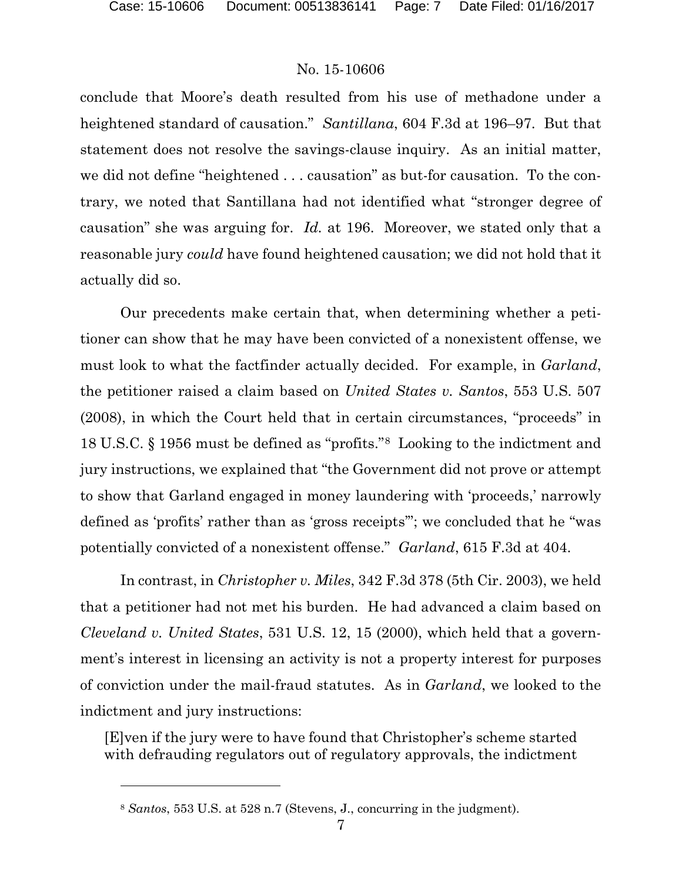l

### No. 15-10606

conclude that Moore's death resulted from his use of methadone under a heightened standard of causation." *Santillana*, 604 F.3d at 196–97. But that statement does not resolve the savings-clause inquiry. As an initial matter, we did not define "heightened . . . causation" as but-for causation. To the contrary, we noted that Santillana had not identified what "stronger degree of causation" she was arguing for. *Id.* at 196. Moreover, we stated only that a reasonable jury *could* have found heightened causation; we did not hold that it actually did so.

Our precedents make certain that, when determining whether a petitioner can show that he may have been convicted of a nonexistent offense, we must look to what the factfinder actually decided. For example, in *Garland*, the petitioner raised a claim based on *United States v. Santos*, 553 U.S. 507 (2008), in which the Court held that in certain circumstances, "proceeds" in 18 U.S.C. § 1956 must be defined as "profits."8 Looking to the indictment and jury instructions, we explained that "the Government did not prove or attempt to show that Garland engaged in money laundering with 'proceeds,' narrowly defined as 'profits' rather than as 'gross receipts'"; we concluded that he "was potentially convicted of a nonexistent offense." *Garland*, 615 F.3d at 404.

In contrast, in *Christopher v. Miles*, 342 F.3d 378 (5th Cir. 2003), we held that a petitioner had not met his burden. He had advanced a claim based on *Cleveland v. United States*, 531 U.S. 12, 15 (2000), which held that a government's interest in licensing an activity is not a property interest for purposes of conviction under the mail-fraud statutes. As in *Garland*, we looked to the indictment and jury instructions:

[E]ven if the jury were to have found that Christopher's scheme started with defrauding regulators out of regulatory approvals, the indictment

<sup>8</sup> *Santos*, 553 U.S. at 528 n.7 (Stevens, J., concurring in the judgment).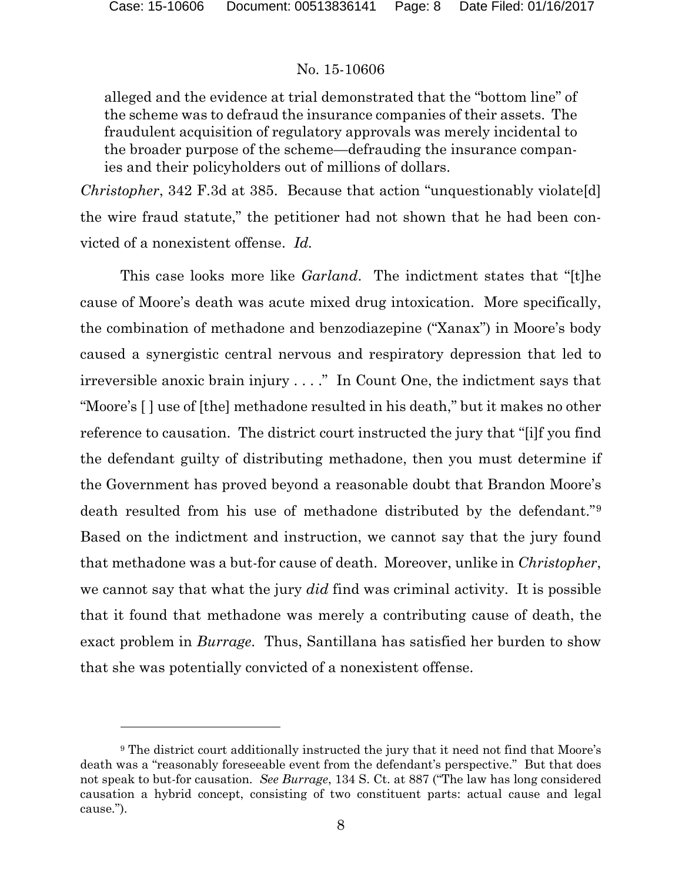l

# No. 15-10606

alleged and the evidence at trial demonstrated that the "bottom line" of the scheme was to defraud the insurance companies of their assets. The fraudulent acquisition of regulatory approvals was merely incidental to the broader purpose of the scheme—defrauding the insurance companies and their policyholders out of millions of dollars.

*Christopher*, 342 F.3d at 385. Because that action "unquestionably violate[d] the wire fraud statute," the petitioner had not shown that he had been convicted of a nonexistent offense. *Id.*

This case looks more like *Garland*. The indictment states that "[t]he cause of Moore's death was acute mixed drug intoxication. More specifically, the combination of methadone and benzodiazepine ("Xanax") in Moore's body caused a synergistic central nervous and respiratory depression that led to irreversible anoxic brain injury . . . ." In Count One, the indictment says that "Moore's [ ] use of [the] methadone resulted in his death," but it makes no other reference to causation. The district court instructed the jury that "[i]f you find the defendant guilty of distributing methadone, then you must determine if the Government has proved beyond a reasonable doubt that Brandon Moore's death resulted from his use of methadone distributed by the defendant."9 Based on the indictment and instruction, we cannot say that the jury found that methadone was a but-for cause of death. Moreover, unlike in *Christopher*, we cannot say that what the jury *did* find was criminal activity. It is possible that it found that methadone was merely a contributing cause of death, the exact problem in *Burrage*. Thus, Santillana has satisfied her burden to show that she was potentially convicted of a nonexistent offense.

<sup>9</sup> The district court additionally instructed the jury that it need not find that Moore's death was a "reasonably foreseeable event from the defendant's perspective." But that does not speak to but-for causation. *See Burrage*, 134 S. Ct. at 887 ("The law has long considered causation a hybrid concept, consisting of two constituent parts: actual cause and legal cause.").